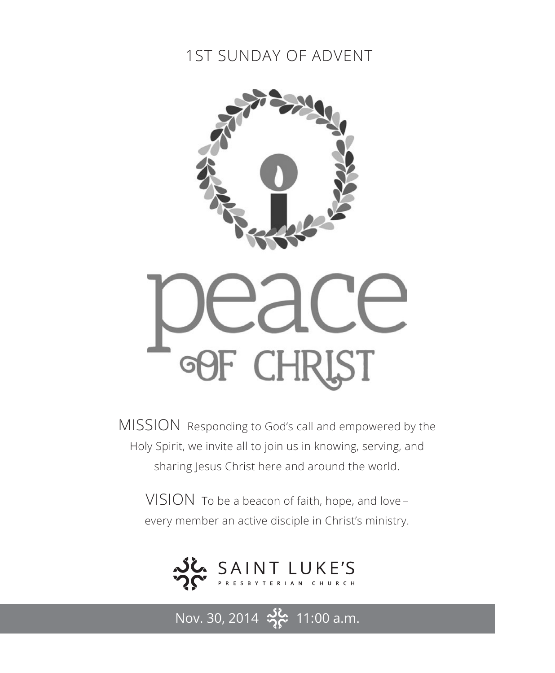## 1ST SUNDAY OF ADVENT



MISSION Responding to God's call and empowered by the Holy Spirit, we invite all to join us in knowing, serving, and sharing Jesus Christ here and around the world.

VISION To be a beacon of faith, hope, and love – every member an active disciple in Christ's ministry.



Nov. 30, 2014  $\frac{36}{2}$  11:00 a.m.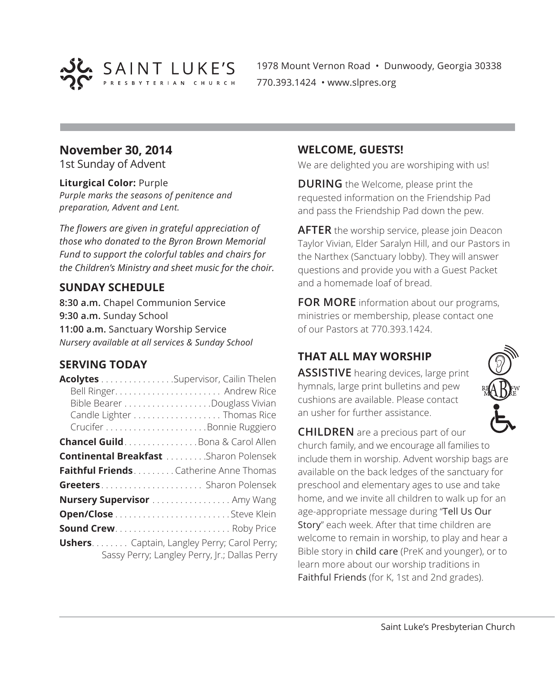

1978 Mount Vernon Road • Dunwoody, Georgia 30338 770.393.1424 • www.slpres.org

#### **November 30, 2014**

1st Sunday of Advent

#### **Liturgical Color:** Purple

*Purple marks the seasons of penitence and preparation, Advent and Lent.*

*The flowers are given in grateful appreciation of those who donated to the Byron Brown Memorial Fund to support the colorful tables and chairs for the Children's Ministry and sheet music for the choir.*

#### **SUNDAY SCHEDULE**

**8:30 a.m.** Chapel Communion Service **9:30 a.m.** Sunday School **11:00 a.m.** Sanctuary Worship Service *Nursery available at all services & Sunday School*

#### **SERVING TODAY**

| Acolytes Supervisor, Cailin Thelen                  |                                               |
|-----------------------------------------------------|-----------------------------------------------|
|                                                     |                                               |
|                                                     |                                               |
|                                                     | Candle Lighter Thomas Rice                    |
|                                                     |                                               |
| Chancel Guild. Bona & Carol Allen                   |                                               |
| <b>Continental Breakfast </b> Sharon Polensek       |                                               |
| Faithful FriendsCatherine Anne Thomas               |                                               |
| Greeters Sharon Polensek                            |                                               |
| Nursery Supervisor  Amy Wang                        |                                               |
|                                                     |                                               |
| <b>Sound Crew</b> Roby Price                        |                                               |
| <b>Ushers.</b> Captain, Langley Perry; Carol Perry; | Sassy Perry; Langley Perry, Jr.; Dallas Perry |

#### **WELCOME, GUESTS!**

We are delighted you are worshiping with us!

**DURING** the Welcome, please print the requested information on the Friendship Pad and pass the Friendship Pad down the pew.

**AFTER** the worship service, please join Deacon Taylor Vivian, Elder Saralyn Hill, and our Pastors in the Narthex (Sanctuary lobby). They will answer questions and provide you with a Guest Packet and a homemade loaf of bread.

**FOR MORE** information about our programs, ministries or membership, please contact one of our Pastors at 770.393.1424.

### **THAT ALL MAY WORSHIP**

**ASSISTIVE** hearing devices, large print hymnals, large print bulletins and pew cushions are available. Please contact an usher for further assistance.



**CHILDREN** are a precious part of our church family, and we encourage all families to include them in worship. Advent worship bags are available on the back ledges of the sanctuary for preschool and elementary ages to use and take home, and we invite all children to walk up for an age-appropriate message during "Tell Us Our Story" each week. After that time children are welcome to remain in worship, to play and hear a Bible story in child care (PreK and younger), or to learn more about our worship traditions in Faithful Friends (for K, 1st and 2nd grades).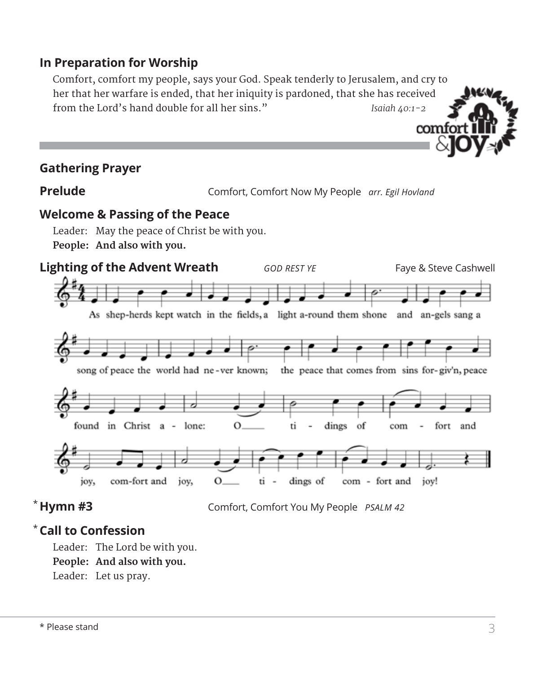### **In Preparation for Worship**

 Comfort, comfort my people, says your God. Speak tenderly to Jerusalem, and cry to her that her warfare is ended, that her iniquity is pardoned, that she has received from the Lord's hand double for all her sins." *Isaiah 40:1-2*

#### **Gathering Prayer**

**Prelude** Comfort, Comfort Now My People *arr. Egil Hovland*

comfo

#### **Welcome & Passing of the Peace**

Leader: May the peace of Christ be with you. **People: And also with you.**



#### $*$  Hymn #3

**Hymn #3** Comfort, Comfort You My People *PSALM 42*

#### **Call to Confession**  \*

Leader: The Lord be with you. **People: And also with you.** Leader: Let us pray.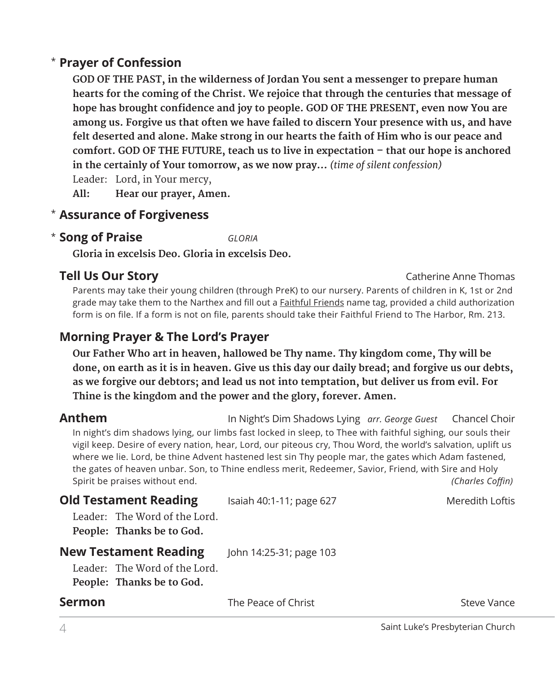#### **Prayer of Confession**  \*

**GOD OF THE PAST, in the wilderness of Jordan You sent a messenger to prepare human hearts for the coming of the Christ. We rejoice that through the centuries that message of hope has brought confidence and joy to people. GOD OF THE PRESENT, even now You are among us. Forgive us that often we have failed to discern Your presence with us, and have felt deserted and alone. Make strong in our hearts the faith of Him who is our peace and comfort. GOD OF THE FUTURE, teach us to live in expectation – that our hope is anchored in the certainly of Your tomorrow, as we now pray…** *(time of silent confession)*

Leader: Lord, in Your mercy,

**All: Hear our prayer, Amen.**

#### **Assurance of Forgiveness** \*

#### **Song of Praise** *GLORIA* \*

**Gloria in excelsis Deo. Gloria in excelsis Deo.**

#### **Tell Us Our Story Catherine Anne Thomas**

 Parents may take their young children (through PreK) to our nursery. Parents of children in K, 1st or 2nd grade may take them to the Narthex and fill out a **Faithful Friends** name tag, provided a child authorization form is on file. If a form is not on file, parents should take their Faithful Friend to The Harbor, Rm. 213.

### **Morning Prayer & The Lord's Prayer**

 **Our Father Who art in heaven, hallowed be Thy name. Thy kingdom come, Thy will be done, on earth as it is in heaven. Give us this day our daily bread; and forgive us our debts, as we forgive our debtors; and lead us not into temptation, but deliver us from evil. For Thine is the kingdom and the power and the glory, forever. Amen.**

**Anthem** In Night's Dim Shadows Lying *arr. George Guest* Chancel Choir In night's dim shadows lying, our limbs fast locked in sleep, to Thee with faithful sighing, our souls their vigil keep. Desire of every nation, hear, Lord, our piteous cry, Thou Word, the world's salvation, uplift us where we lie. Lord, be thine Advent hastened lest sin Thy people mar, the gates which Adam fastened, the gates of heaven unbar. Son, to Thine endless merit, Redeemer, Savior, Friend, with Sire and Holy Spirit be praises without end. *(Charles Coffin)*

| <b>Old Testament Reading</b>                                                               | Isaiah 40:1-11; page 627 | Meredith Loftis |
|--------------------------------------------------------------------------------------------|--------------------------|-----------------|
| Leader: The Word of the Lord.<br>People: Thanks be to God.                                 |                          |                 |
| <b>New Testament Reading</b><br>Leader: The Word of the Lord.<br>People: Thanks be to God. | John 14:25-31; page 103  |                 |
| <b>Sermon</b>                                                                              | The Peace of Christ      | Steve Vance     |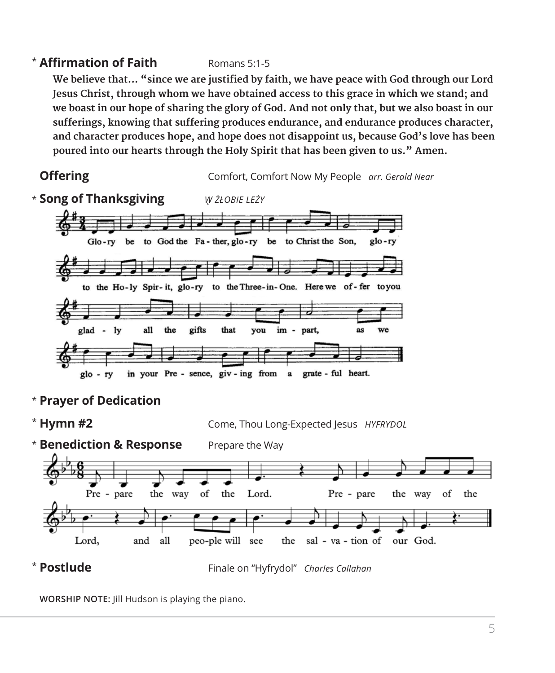#### \* **Affirmation of Faith** Romans 5:1-5

**We believe that... "since we are justified by faith, we have peace with God through our Lord Jesus Christ, through whom we have obtained access to this grace in which we stand; and we boast in our hope of sharing the glory of God. And not only that, but we also boast in our sufferings, knowing that suffering produces endurance, and endurance produces character, and character produces hope, and hope does not disappoint us, because God's love has been poured into our hearts through the Holy Spirit that has been given to us." Amen.**



\* **Prayer of Dedication**



**WORSHIP NOTE:** Jill Hudson is playing the piano.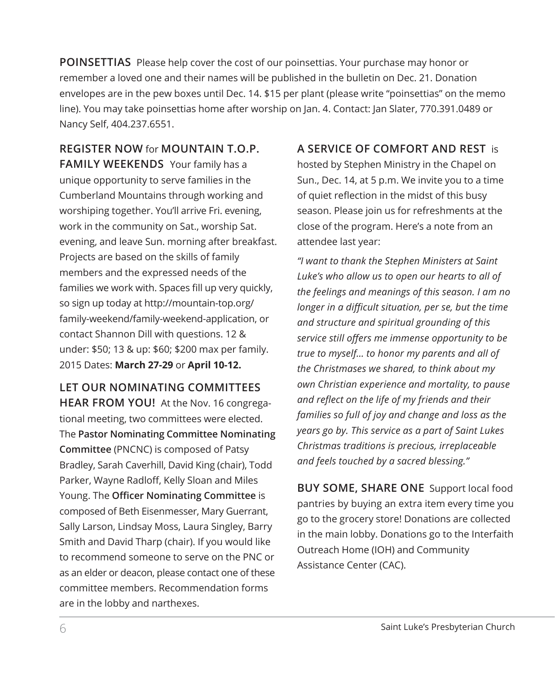**POINSETTIAS** Please help cover the cost of our poinsettias. Your purchase may honor or remember a loved one and their names will be published in the bulletin on Dec. 21. Donation envelopes are in the pew boxes until Dec. 14. \$15 per plant (please write "poinsettias" on the memo line). You may take poinsettias home after worship on Jan. 4. Contact: Jan Slater, 770.391.0489 or Nancy Self, 404.237.6551.

**REGISTER NOW** for **MOUNTAIN T.O.P. FAMILY WEEKENDS** Your family has a unique opportunity to serve families in the Cumberland Mountains through working and worshiping together. You'll arrive Fri. evening, work in the community on Sat., worship Sat. evening, and leave Sun. morning after breakfast. Projects are based on the skills of family members and the expressed needs of the families we work with. Spaces fill up very quickly, so sign up today at http://mountain-top.org/ family-weekend/family-weekend-application, or contact Shannon Dill with questions. 12 & under: \$50; 13 & up: \$60; \$200 max per family. 2015 Dates: **March 27-29** or **April 10-12.**

#### **LET OUR NOMINATING COMMITTEES HEAR FROM YOU!** At the Nov. 16 congrega-

tional meeting, two committees were elected. The **Pastor Nominating Committee Nominating Committee** (PNCNC) is composed of Patsy Bradley, Sarah Caverhill, David King (chair), Todd Parker, Wayne Radloff, Kelly Sloan and Miles Young. The **Officer Nominating Committee** is composed of Beth Eisenmesser, Mary Guerrant, Sally Larson, Lindsay Moss, Laura Singley, Barry Smith and David Tharp (chair). If you would like to recommend someone to serve on the PNC or as an elder or deacon, please contact one of these committee members. Recommendation forms are in the lobby and narthexes.

### **A SERVICE OF COMFORT AND REST** is hosted by Stephen Ministry in the Chapel on Sun., Dec. 14, at 5 p.m. We invite you to a time of quiet reflection in the midst of this busy season. Please join us for refreshments at the close of the program. Here's a note from an attendee last year:

*"I want to thank the Stephen Ministers at Saint Luke's who allow us to open our hearts to all of the feelings and meanings of this season. I am no longer in a difficult situation, per se, but the time and structure and spiritual grounding of this service still offers me immense opportunity to be true to myself… to honor my parents and all of the Christmases we shared, to think about my own Christian experience and mortality, to pause and reflect on the life of my friends and their families so full of joy and change and loss as the years go by. This service as a part of Saint Lukes Christmas traditions is precious, irreplaceable and feels touched by a sacred blessing."* 

**BUY SOME, SHARE ONE** Support local food pantries by buying an extra item every time you go to the grocery store! Donations are collected in the main lobby. Donations go to the Interfaith Outreach Home (IOH) and Community Assistance Center (CAC).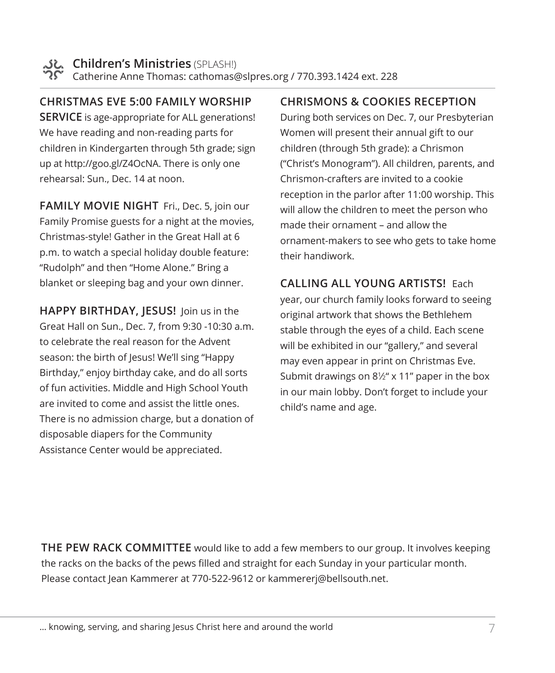**CHRISTMAS EVE 5:00 FAMILY WORSHIP SERVICE** is age-appropriate for ALL generations! We have reading and non-reading parts for children in Kindergarten through 5th grade; sign up at http://goo.gl/Z4OcNA. There is only one rehearsal: Sun., Dec. 14 at noon.

**FAMILY MOVIE NIGHT** Fri., Dec. 5, join our Family Promise guests for a night at the movies, Christmas-style! Gather in the Great Hall at 6 p.m. to watch a special holiday double feature: "Rudolph" and then "Home Alone." Bring a blanket or sleeping bag and your own dinner.

**HAPPY BIRTHDAY, JESUS!** Join us in the Great Hall on Sun., Dec. 7, from 9:30 -10:30 a.m. to celebrate the real reason for the Advent season: the birth of Jesus! We'll sing "Happy Birthday," enjoy birthday cake, and do all sorts of fun activities. Middle and High School Youth are invited to come and assist the little ones. There is no admission charge, but a donation of disposable diapers for the Community Assistance Center would be appreciated.

#### **CHRISMONS & COOKIES RECEPTION**

During both services on Dec. 7, our Presbyterian Women will present their annual gift to our children (through 5th grade): a Chrismon ("Christ's Monogram"). All children, parents, and Chrismon-crafters are invited to a cookie reception in the parlor after 11:00 worship. This will allow the children to meet the person who made their ornament – and allow the ornament-makers to see who gets to take home their handiwork.

**CALLING ALL YOUNG ARTISTS!** Each year, our church family looks forward to seeing original artwork that shows the Bethlehem stable through the eyes of a child. Each scene will be exhibited in our "gallery," and several may even appear in print on Christmas Eve. Submit drawings on  $8\frac{1}{2}$ " x 11" paper in the box in our main lobby. Don't forget to include your child's name and age.

**THE PEW RACK COMMITTEE** would like to add a few members to our group. It involves keeping the racks on the backs of the pews filled and straight for each Sunday in your particular month. Please contact Jean Kammerer at 770-522-9612 or kammererj@bellsouth.net.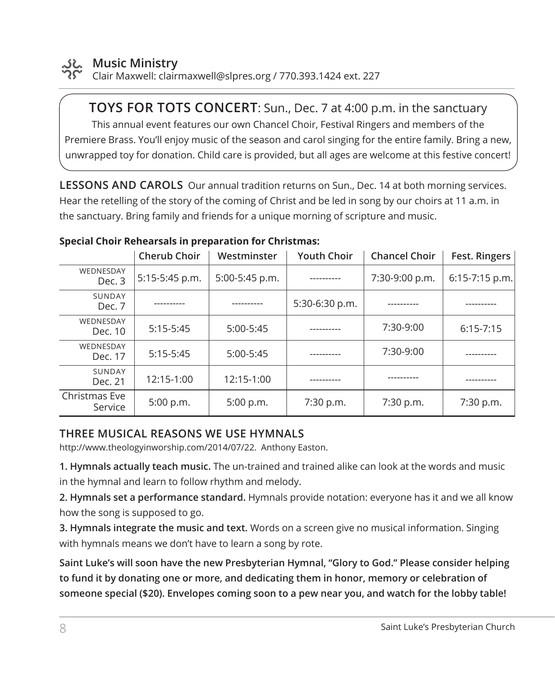

#### **Music Ministry**

Clair Maxwell: clairmaxwell@slpres.org / 770.393.1424 ext. 227

**TOYS FOR TOTS CONCERT**: Sun., Dec. 7 at 4:00 p.m. in the sanctuary This annual event features our own Chancel Choir, Festival Ringers and members of the Premiere Brass. You'll enjoy music of the season and carol singing for the entire family. Bring a new, unwrapped toy for donation. Child care is provided, but all ages are welcome at this festive concert!

**LESSONS AND CAROLS** Our annual tradition returns on Sun., Dec. 14 at both morning services. Hear the retelling of the story of the coming of Christ and be led in song by our choirs at 11 a.m. in the sanctuary. Bring family and friends for a unique morning of scripture and music.

|                          | Cherub Choir   | Westminster    | <b>Youth Choir</b> | <b>Chancel Choir</b> | Fest. Ringers    |
|--------------------------|----------------|----------------|--------------------|----------------------|------------------|
| WEDNESDAY<br>Dec. 3      | 5:15-5:45 p.m. | 5:00-5:45 p.m. | ----------         | 7:30-9:00 p.m.       | $6:15-7:15$ p.m. |
| SUNDAY<br>Dec. 7         |                |                | 5:30-6:30 p.m.     |                      |                  |
| WEDNESDAY<br>Dec. 10     | $5:15-5:45$    | $5:00-5:45$    |                    | 7:30-9:00            | $6:15 - 7:15$    |
| WEDNESDAY<br>Dec. 17     | $5:15-5:45$    | $5:00-5:45$    |                    | 7:30-9:00            |                  |
| SUNDAY<br>Dec. 21        | 12:15-1:00     | 12:15-1:00     |                    |                      |                  |
| Christmas Eve<br>Service | 5:00 p.m.      | 5:00 p.m.      | 7:30 p.m.          | 7:30 p.m.            | 7:30 p.m.        |

#### **Special Choir Rehearsals in preparation for Christmas:**

#### **THREE MUSICAL REASONS WE USE HYMNALS**

http://www.theologyinworship.com/2014/07/22. Anthony Easton.

**1. Hymnals actually teach music.** The un-trained and trained alike can look at the words and music in the hymnal and learn to follow rhythm and melody.

**2. Hymnals set a performance standard.** Hymnals provide notation: everyone has it and we all know how the song is supposed to go.

**3. Hymnals integrate the music and text.** Words on a screen give no musical information. Singing with hymnals means we don't have to learn a song by rote.

**Saint Luke's will soon have the new Presbyterian Hymnal, "Glory to God." Please consider helping to fund it by donating one or more, and dedicating them in honor, memory or celebration of someone special (\$20). Envelopes coming soon to a pew near you, and watch for the lobby table!**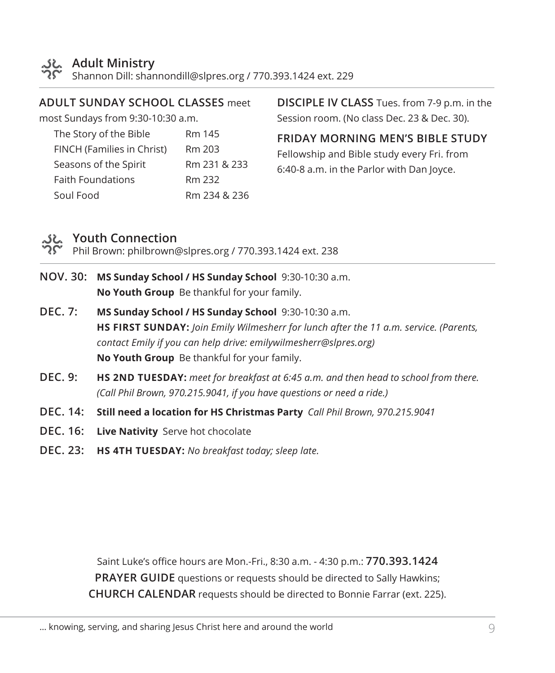

#### **Adult Ministry**

Shannon Dill: shannondill@slpres.org / 770.393.1424 ext. 229

#### **ADULT SUNDAY SCHOOL CLASSES** meet

most Sundays from 9:30-10:30 a.m.

| The Story of the Bible     | Rm 145       |
|----------------------------|--------------|
| FINCH (Families in Christ) | Rm 203       |
| Seasons of the Spirit      | Rm 231 & 233 |
| <b>Faith Foundations</b>   | Rm 232       |
| Soul Food                  | Rm 234 & 236 |

**DISCIPLE IV CLASS** Tues. from 7-9 p.m. in the Session room. (No class Dec. 23 & Dec. 30).

**FRIDAY MORNING MEN'S BIBLE STUDY** 

Fellowship and Bible study every Fri. from 6:40-8 a.m. in the Parlor with Dan Joyce.

#### **Youth Connection**

Phil Brown: philbrown@slpres.org / 770.393.1424 ext. 238

- **NOV. 30: MS Sunday School / HS Sunday School** 9:30-10:30 a.m. **No Youth Group** Be thankful for your family.
- **DEC. 7: MS Sunday School / HS Sunday School** 9:30-10:30 a.m. **HS FIRST SUNDAY:** *Join Emily Wilmesherr for lunch after the 11 a.m. service. (Parents, contact Emily if you can help drive: emilywilmesherr@slpres.org)* **No Youth Group** Be thankful for your family.
- **DEC. 9: HS 2ND TUESDAY:** *meet for breakfast at 6:45 a.m. and then head to school from there. (Call Phil Brown, 970.215.9041, if you have questions or need a ride.)*
- **DEC. 14: Still need a location for HS Christmas Party** *Call Phil Brown, 970.215.9041*
- **DEC. 16: Live Nativity** Serve hot chocolate
- **DEC. 23: HS 4TH TUESDAY:** *No breakfast today; sleep late.*

Saint Luke's office hours are Mon.-Fri., 8:30 a.m. - 4:30 p.m.: **770.393.1424 PRAYER GUIDE** questions or requests should be directed to Sally Hawkins; **CHURCH CALENDAR** requests should be directed to Bonnie Farrar (ext. 225).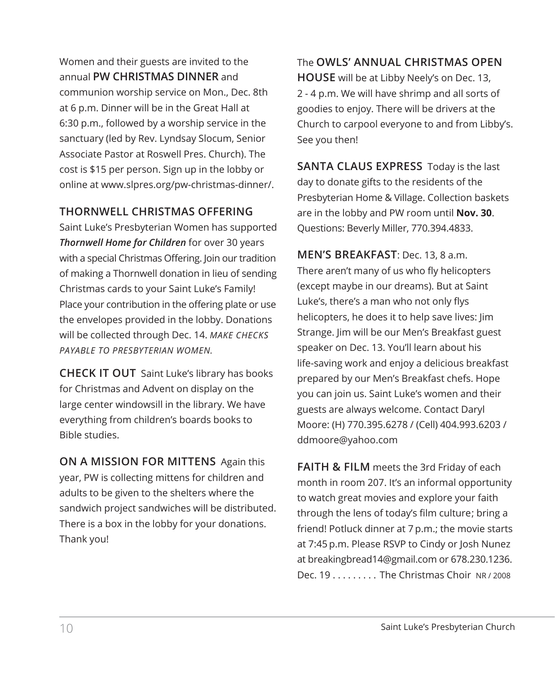Women and their guests are invited to the annual **PW CHRISTMAS DINNER** and communion worship service on Mon., Dec. 8th at 6 p.m. Dinner will be in the Great Hall at 6:30 p.m., followed by a worship service in the sanctuary (led by Rev. Lyndsay Slocum, Senior Associate Pastor at Roswell Pres. Church). The cost is \$15 per person. Sign up in the lobby or online at www.slpres.org/pw-christmas-dinner/.

#### **THORNWELL CHRISTMAS OFFERING**

Saint Luke's Presbyterian Women has supported *Thornwell Home for Children* for over 30 years with a special Christmas Offering. Join our tradition of making a Thornwell donation in lieu of sending Christmas cards to your Saint Luke's Family! Place your contribution in the offering plate or use the envelopes provided in the lobby. Donations will be collected through Dec. 14. *MAKE CHECKS PAYABLE TO PRESBYTERIAN WOMEN.*

**CHECK IT OUT** Saint Luke's library has books for Christmas and Advent on display on the large center windowsill in the library. We have everything from children's boards books to Bible studies.

**ON A MISSION FOR MITTENS** Again this year, PW is collecting mittens for children and adults to be given to the shelters where the sandwich project sandwiches will be distributed. There is a box in the lobby for your donations. Thank you!

The **OWLS' ANNUAL CHRISTMAS OPEN HOUSE** will be at Libby Neely's on Dec. 13, 2 - 4 p.m. We will have shrimp and all sorts of goodies to enjoy. There will be drivers at the Church to carpool everyone to and from Libby's. See you then!

**SANTA CLAUS EXPRESS** Today is the last day to donate gifts to the residents of the Presbyterian Home & Village. Collection baskets are in the lobby and PW room until **Nov. 30**. Questions: Beverly Miller, 770.394.4833.

**MEN'S BREAKFAST**: Dec. 13, 8 a.m. There aren't many of us who fly helicopters (except maybe in our dreams). But at Saint Luke's, there's a man who not only flys helicopters, he does it to help save lives: Jim Strange. Jim will be our Men's Breakfast guest speaker on Dec. 13. You'll learn about his life-saving work and enjoy a delicious breakfast prepared by our Men's Breakfast chefs. Hope you can join us. Saint Luke's women and their guests are always welcome. Contact Daryl Moore: (H) 770.395.6278 / (Cell) 404.993.6203 / ddmoore@yahoo.com

**FAITH & FILM** meets the 3rd Friday of each month in room 207. It's an informal opportunity to watch great movies and explore your faith through the lens of today's film culture; bring a friend! Potluck dinner at 7 p.m.; the movie starts at 7:45 p.m. Please RSVP to Cindy or Josh Nunez at breakingbread14@gmail.com or 678.230.1236. Dec.  $19, \ldots, \ldots$  The Christmas Choir NR/2008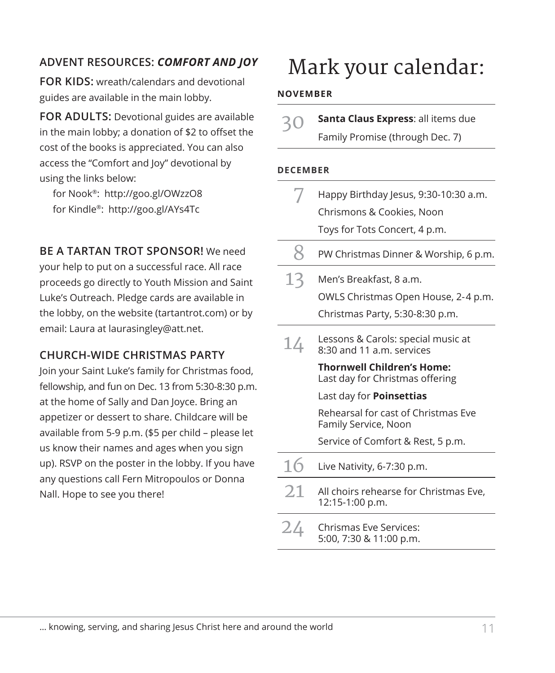**FOR KIDS:** wreath/calendars and devotional guides are available in the main lobby.

**FOR ADULTS:** Devotional guides are available in the main lobby; a donation of \$2 to offset the cost of the books is appreciated. You can also access the "Comfort and Joy" devotional by using the links below:

for Nook®: http://goo.gl/OWzzO8 for Kindle®: http://goo.gl/AYs4Tc

**BE A TARTAN TROT SPONSOR!** We need

your help to put on a successful race. All race proceeds go directly to Youth Mission and Saint Luke's Outreach. Pledge cards are available in the lobby, on the website (tartantrot.com) or by email: Laura at laurasingley@att.net.

#### **CHURCH-WIDE CHRISTMAS PARTY**

Join your Saint Luke's family for Christmas food, fellowship, and fun on Dec. 13 from 5:30-8:30 p.m. at the home of Sally and Dan Joyce. Bring an appetizer or dessert to share. Childcare will be available from 5-9 p.m. (\$5 per child – please let us know their names and ages when you sign up). RSVP on the poster in the lobby. If you have any questions call Fern Mitropoulos or Donna Nall. Hope to see you there!

# Mark your calendar: **ADVENT RESOURCES:** *COMFORT AND JOY*

#### **NOVEMBER**

| 30 | Santa Claus Express: all items due |
|----|------------------------------------|
|    | Family Promise (through Dec. 7)    |

#### **DECEMBER**

|    | Happy Birthday Jesus, 9:30-10:30 a.m.                                |
|----|----------------------------------------------------------------------|
|    | Chrismons & Cookies, Noon                                            |
|    | Toys for Tots Concert, 4 p.m.                                        |
| 8  | PW Christmas Dinner & Worship, 6 p.m.                                |
| 13 | Men's Breakfast, 8 a.m.                                              |
|    | OWLS Christmas Open House, 2-4 p.m.                                  |
|    | Christmas Party, 5:30-8:30 p.m.                                      |
| 14 | Lessons & Carols: special music at<br>8:30 and 11 a.m. services      |
|    | <b>Thornwell Children's Home:</b><br>Last day for Christmas offering |
|    | Last day for <b>Poinsettias</b>                                      |
|    | Rehearsal for cast of Christmas Eve<br>Family Service, Noon          |
|    | Service of Comfort & Rest, 5 p.m.                                    |
| 16 | Live Nativity, 6-7:30 p.m.                                           |
| 21 | All choirs rehearse for Christmas Eve,<br>12:15-1:00 p.m.            |
| 24 | Chrismas Eve Services:<br>5:00, 7:30 & 11:00 p.m.                    |